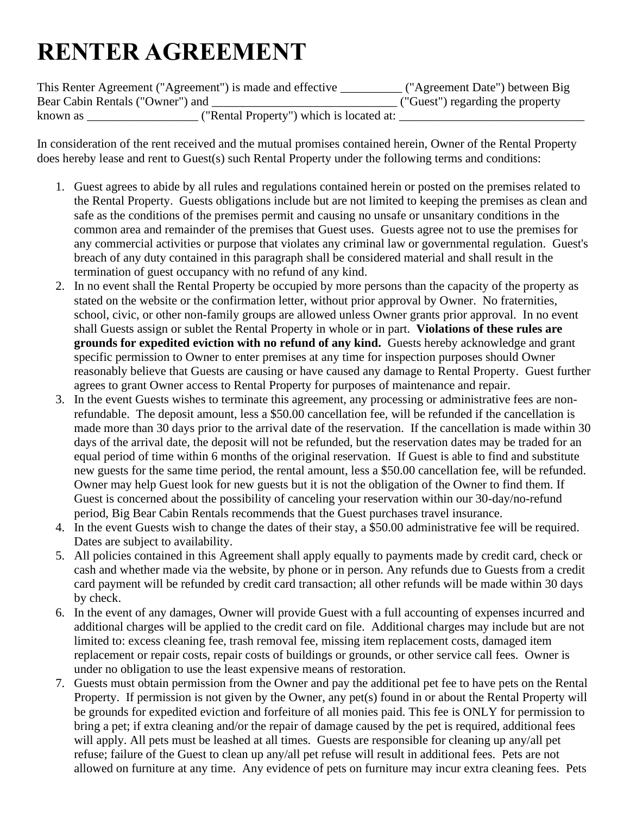## **RENTER AGREEMENT**

| This Renter Agreement ("Agreement") is made and effective |                                          | ("Agreement Date") between Big   |
|-----------------------------------------------------------|------------------------------------------|----------------------------------|
| Bear Cabin Rentals ("Owner") and                          |                                          | ("Guest") regarding the property |
| known as                                                  | ("Rental Property") which is located at: |                                  |

In consideration of the rent received and the mutual promises contained herein, Owner of the Rental Property does hereby lease and rent to Guest(s) such Rental Property under the following terms and conditions:

- 1. Guest agrees to abide by all rules and regulations contained herein or posted on the premises related to the Rental Property. Guests obligations include but are not limited to keeping the premises as clean and safe as the conditions of the premises permit and causing no unsafe or unsanitary conditions in the common area and remainder of the premises that Guest uses. Guests agree not to use the premises for any commercial activities or purpose that violates any criminal law or governmental regulation. Guest's breach of any duty contained in this paragraph shall be considered material and shall result in the termination of guest occupancy with no refund of any kind.
- 2. In no event shall the Rental Property be occupied by more persons than the capacity of the property as stated on the website or the confirmation letter, without prior approval by Owner. No fraternities, school, civic, or other non-family groups are allowed unless Owner grants prior approval. In no event shall Guests assign or sublet the Rental Property in whole or in part. **Violations of these rules are grounds for expedited eviction with no refund of any kind.** Guests hereby acknowledge and grant specific permission to Owner to enter premises at any time for inspection purposes should Owner reasonably believe that Guests are causing or have caused any damage to Rental Property. Guest further agrees to grant Owner access to Rental Property for purposes of maintenance and repair.
- 3. In the event Guests wishes to terminate this agreement, any processing or administrative fees are nonrefundable. The deposit amount, less a \$50.00 cancellation fee, will be refunded if the cancellation is made more than 30 days prior to the arrival date of the reservation. If the cancellation is made within 30 days of the arrival date, the deposit will not be refunded, but the reservation dates may be traded for an equal period of time within 6 months of the original reservation. If Guest is able to find and substitute new guests for the same time period, the rental amount, less a \$50.00 cancellation fee, will be refunded. Owner may help Guest look for new guests but it is not the obligation of the Owner to find them. If Guest is concerned about the possibility of canceling your reservation within our 30-day/no-refund period, Big Bear Cabin Rentals recommends that the Guest purchases travel insurance.
- 4. In the event Guests wish to change the dates of their stay, a \$50.00 administrative fee will be required. Dates are subject to availability.
- 5. All policies contained in this Agreement shall apply equally to payments made by credit card, check or cash and whether made via the website, by phone or in person. Any refunds due to Guests from a credit card payment will be refunded by credit card transaction; all other refunds will be made within 30 days by check.
- 6. In the event of any damages, Owner will provide Guest with a full accounting of expenses incurred and additional charges will be applied to the credit card on file. Additional charges may include but are not limited to: excess cleaning fee, trash removal fee, missing item replacement costs, damaged item replacement or repair costs, repair costs of buildings or grounds, or other service call fees. Owner is under no obligation to use the least expensive means of restoration.
- 7. Guests must obtain permission from the Owner and pay the additional pet fee to have pets on the Rental Property. If permission is not given by the Owner, any pet(s) found in or about the Rental Property will be grounds for expedited eviction and forfeiture of all monies paid. This fee is ONLY for permission to bring a pet; if extra cleaning and/or the repair of damage caused by the pet is required, additional fees will apply. All pets must be leashed at all times. Guests are responsible for cleaning up any/all pet refuse; failure of the Guest to clean up any/all pet refuse will result in additional fees. Pets are not allowed on furniture at any time. Any evidence of pets on furniture may incur extra cleaning fees. Pets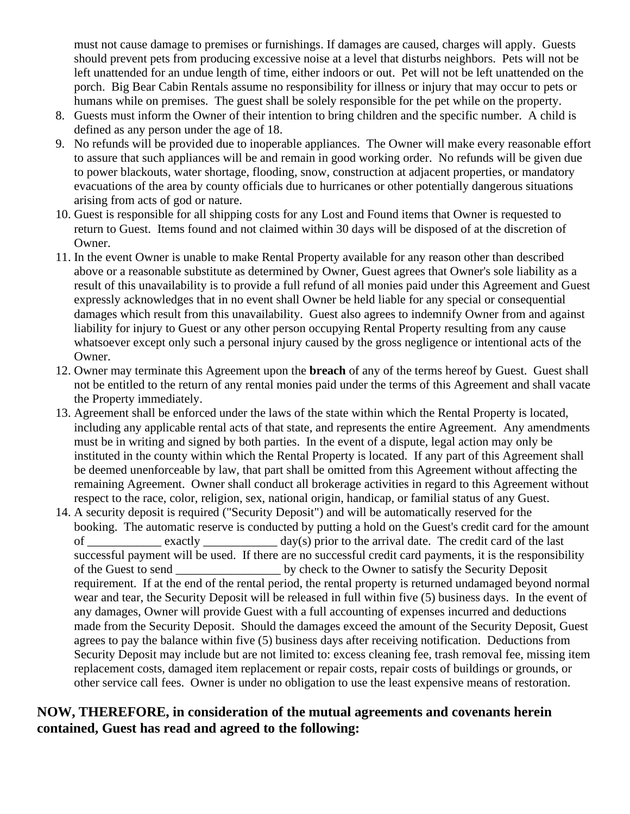must not cause damage to premises or furnishings. If damages are caused, charges will apply. Guests should prevent pets from producing excessive noise at a level that disturbs neighbors. Pets will not be left unattended for an undue length of time, either indoors or out. Pet will not be left unattended on the porch. Big Bear Cabin Rentals assume no responsibility for illness or injury that may occur to pets or humans while on premises. The guest shall be solely responsible for the pet while on the property.

- 8. Guests must inform the Owner of their intention to bring children and the specific number. A child is defined as any person under the age of 18.
- 9. No refunds will be provided due to inoperable appliances. The Owner will make every reasonable effort to assure that such appliances will be and remain in good working order. No refunds will be given due to power blackouts, water shortage, flooding, snow, construction at adjacent properties, or mandatory evacuations of the area by county officials due to hurricanes or other potentially dangerous situations arising from acts of god or nature.
- 10. Guest is responsible for all shipping costs for any Lost and Found items that Owner is requested to return to Guest. Items found and not claimed within 30 days will be disposed of at the discretion of Owner.
- 11. In the event Owner is unable to make Rental Property available for any reason other than described above or a reasonable substitute as determined by Owner, Guest agrees that Owner's sole liability as a result of this unavailability is to provide a full refund of all monies paid under this Agreement and Guest expressly acknowledges that in no event shall Owner be held liable for any special or consequential damages which result from this unavailability. Guest also agrees to indemnify Owner from and against liability for injury to Guest or any other person occupying Rental Property resulting from any cause whatsoever except only such a personal injury caused by the gross negligence or intentional acts of the Owner.
- 12. Owner may terminate this Agreement upon the **breach** of any of the terms hereof by Guest. Guest shall not be entitled to the return of any rental monies paid under the terms of this Agreement and shall vacate the Property immediately.
- 13. Agreement shall be enforced under the laws of the state within which the Rental Property is located, including any applicable rental acts of that state, and represents the entire Agreement. Any amendments must be in writing and signed by both parties. In the event of a dispute, legal action may only be instituted in the county within which the Rental Property is located. If any part of this Agreement shall be deemed unenforceable by law, that part shall be omitted from this Agreement without affecting the remaining Agreement. Owner shall conduct all brokerage activities in regard to this Agreement without respect to the race, color, religion, sex, national origin, handicap, or familial status of any Guest.
- 14. A security deposit is required ("Security Deposit") and will be automatically reserved for the booking. The automatic reserve is conducted by putting a hold on the Guest's credit card for the amount of exactly  $\frac{day(s)}{g(s)}$  prior to the arrival date. The credit card of the last successful payment will be used. If there are no successful credit card payments, it is the responsibility of the Guest to send by check to the Owner to satisfy the Security Deposit requirement. If at the end of the rental period, the rental property is returned undamaged beyond normal wear and tear, the Security Deposit will be released in full within five (5) business days. In the event of any damages, Owner will provide Guest with a full accounting of expenses incurred and deductions made from the Security Deposit. Should the damages exceed the amount of the Security Deposit, Guest agrees to pay the balance within five (5) business days after receiving notification. Deductions from Security Deposit may include but are not limited to: excess cleaning fee, trash removal fee, missing item replacement costs, damaged item replacement or repair costs, repair costs of buildings or grounds, or other service call fees. Owner is under no obligation to use the least expensive means of restoration.

## **NOW, THEREFORE, in consideration of the mutual agreements and covenants herein contained, Guest has read and agreed to the following:**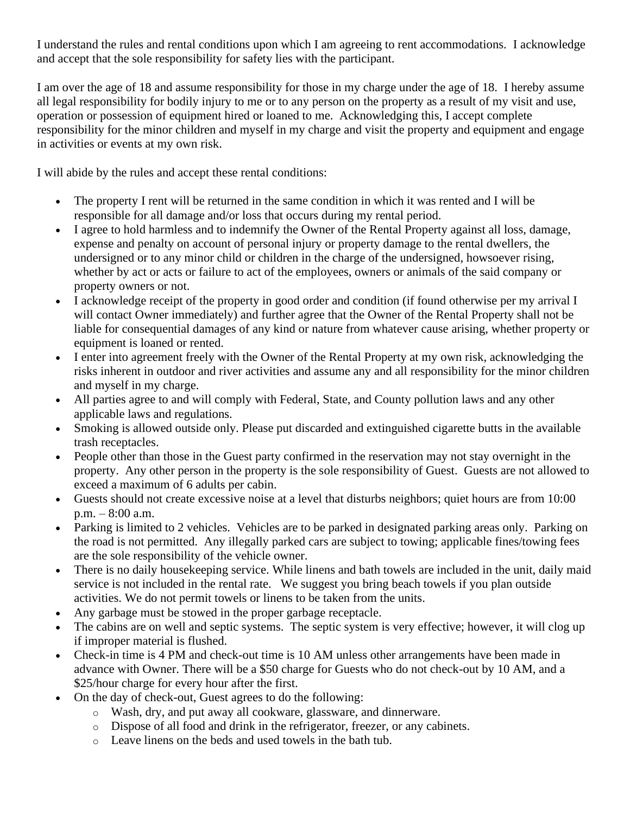I understand the rules and rental conditions upon which I am agreeing to rent accommodations. I acknowledge and accept that the sole responsibility for safety lies with the participant.

I am over the age of 18 and assume responsibility for those in my charge under the age of 18. I hereby assume all legal responsibility for bodily injury to me or to any person on the property as a result of my visit and use, operation or possession of equipment hired or loaned to me. Acknowledging this, I accept complete responsibility for the minor children and myself in my charge and visit the property and equipment and engage in activities or events at my own risk.

I will abide by the rules and accept these rental conditions:

- The property I rent will be returned in the same condition in which it was rented and I will be responsible for all damage and/or loss that occurs during my rental period.
- I agree to hold harmless and to indemnify the Owner of the Rental Property against all loss, damage, expense and penalty on account of personal injury or property damage to the rental dwellers, the undersigned or to any minor child or children in the charge of the undersigned, howsoever rising, whether by act or acts or failure to act of the employees, owners or animals of the said company or property owners or not.
- I acknowledge receipt of the property in good order and condition (if found otherwise per my arrival I will contact Owner immediately) and further agree that the Owner of the Rental Property shall not be liable for consequential damages of any kind or nature from whatever cause arising, whether property or equipment is loaned or rented.
- I enter into agreement freely with the Owner of the Rental Property at my own risk, acknowledging the risks inherent in outdoor and river activities and assume any and all responsibility for the minor children and myself in my charge.
- All parties agree to and will comply with Federal, State, and County pollution laws and any other applicable laws and regulations.
- Smoking is allowed outside only. Please put discarded and extinguished cigarette butts in the available trash receptacles.
- People other than those in the Guest party confirmed in the reservation may not stay overnight in the property. Any other person in the property is the sole responsibility of Guest. Guests are not allowed to exceed a maximum of 6 adults per cabin.
- Guests should not create excessive noise at a level that disturbs neighbors; quiet hours are from 10:00 p.m. – 8:00 a.m.
- Parking is limited to 2 vehicles. Vehicles are to be parked in designated parking areas only. Parking on the road is not permitted. Any illegally parked cars are subject to towing; applicable fines/towing fees are the sole responsibility of the vehicle owner.
- There is no daily housekeeping service. While linens and bath towels are included in the unit, daily maid service is not included in the rental rate. We suggest you bring beach towels if you plan outside activities. We do not permit towels or linens to be taken from the units.
- Any garbage must be stowed in the proper garbage receptacle.
- The cabins are on well and septic systems. The septic system is very effective; however, it will clog up if improper material is flushed.
- Check-in time is 4 PM and check-out time is 10 AM unless other arrangements have been made in advance with Owner. There will be a \$50 charge for Guests who do not check-out by 10 AM, and a \$25/hour charge for every hour after the first.
- On the day of check-out, Guest agrees to do the following:
	- o Wash, dry, and put away all cookware, glassware, and dinnerware.
	- o Dispose of all food and drink in the refrigerator, freezer, or any cabinets.
	- o Leave linens on the beds and used towels in the bath tub.